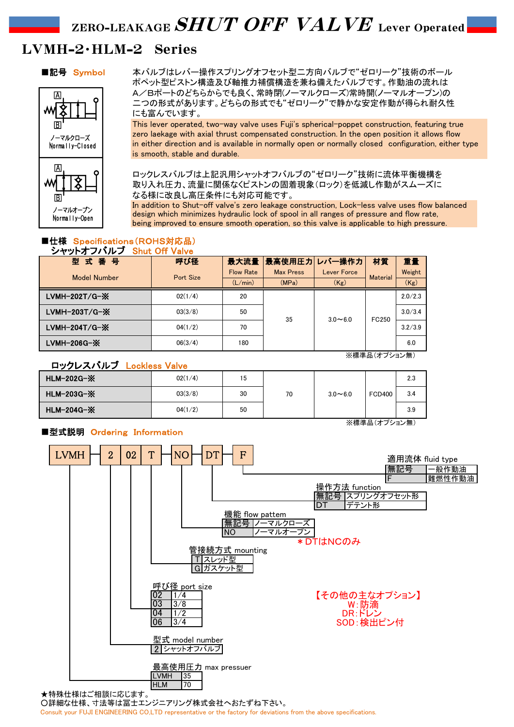# ZERO-LEAKAGE  $SHUT$   $OFF$   $VALVE$  lever Operated

# LVMH-2・HLM-2 Series



■記号 Symbol 本バルブはレバー操作スプリングオフセット型ニ方向バルブで"ゼロリーク"技術のボール ポペット型ピストン構造及び軸推力補償構造を兼ね備えたバルブです。作動油の流れは A/Bポートのどちらからでも良く、常時閉(ノーマルクローズ)常時開(ノーマルオープン)の 二つの形式があります。どちらの形式でも"ゼロリーク"で静かな安定作動が得られ耐久性 にも富んでいます。

> This lever operated, two-way valve uses Fuji's spherical-poppet construction, featuring true zero laekage with axial thrust compensated construction. In the open position it allows flow in either direction and is available in normally open or normally closed configuration, either type is smooth, stable and durable.

ロックレスバルブは上記汎用シャットオフバルブの"ゼロリーク"技術に流体平衡機構を 取り入れ圧力、流量に関係なくピストンの固着現象(ロック)を低減し作動がスムーズに なる様に改良し高圧条件にも対応可能です。

In addition to Shut-off valve's zero leakage construction, Lock-less valve uses flow balanced design which minimizes hydraulic lock of spool in all ranges of pressure and flow rate, being improved to ensure smooth operation, so this valve is applicable to high pressure.

# ■仕様 Specifications(ROHS対応品) シャットオフバルブ Shut Off Valve

| .                   |           |                  |                    |                    |                 |         |  |  |  |
|---------------------|-----------|------------------|--------------------|--------------------|-----------------|---------|--|--|--|
| 型式番号                | 呼び径       |                  | 最大流量 最高使用圧力 レバー操作力 |                    | 材質              | 重量      |  |  |  |
| <b>Model Number</b> | Port Size | <b>Flow Rate</b> | <b>Max Press</b>   | <b>Lever Force</b> | <b>Material</b> | Weight  |  |  |  |
|                     |           | (L/min)          | (MPa)              | (Kg)               |                 | (Kg)    |  |  |  |
| LVMH-202T/G-※       | 02(1/4)   | 20               | 35                 | $3.0 - 6.0$        | FC250           | 2.0/2.3 |  |  |  |
| $LVMH-203T/G-X$     | 03(3/8)   | 50               |                    |                    |                 | 3.0/3.4 |  |  |  |
| LVMH-204T/G-※       | 04(1/2)   | 70               |                    |                    |                 | 3.2/3.9 |  |  |  |
| LVMH-206G-X         | 06(3/4)   | 180              |                    |                    |                 | 6.0     |  |  |  |

※標準品(オプション無)

# ロックレスバルブ Lockless Valve

| HLM-202G-※        | 02(1/4) | 15 |    |             |               | 2.3 |  |  |  |
|-------------------|---------|----|----|-------------|---------------|-----|--|--|--|
| <b>HLM-203G-X</b> | 03(3/8) | 30 | 70 | $3.0 - 6.0$ | <b>FCD400</b> | 3.4 |  |  |  |
| HLM-204G-X        | 04(1/2) | 50 |    |             |               | 3.9 |  |  |  |
| ※標準品(オプション無)      |         |    |    |             |               |     |  |  |  |

# ■型式説明 Ordering Information



★特殊仕様はご相談に応じます。 ○詳細な仕様、寸法等は冨士エンジニアリング株式会社へおたずね下さい。 Consult your FUJI ENGINEERING CO,LTD representative or the factory for deviations from the above specifications.